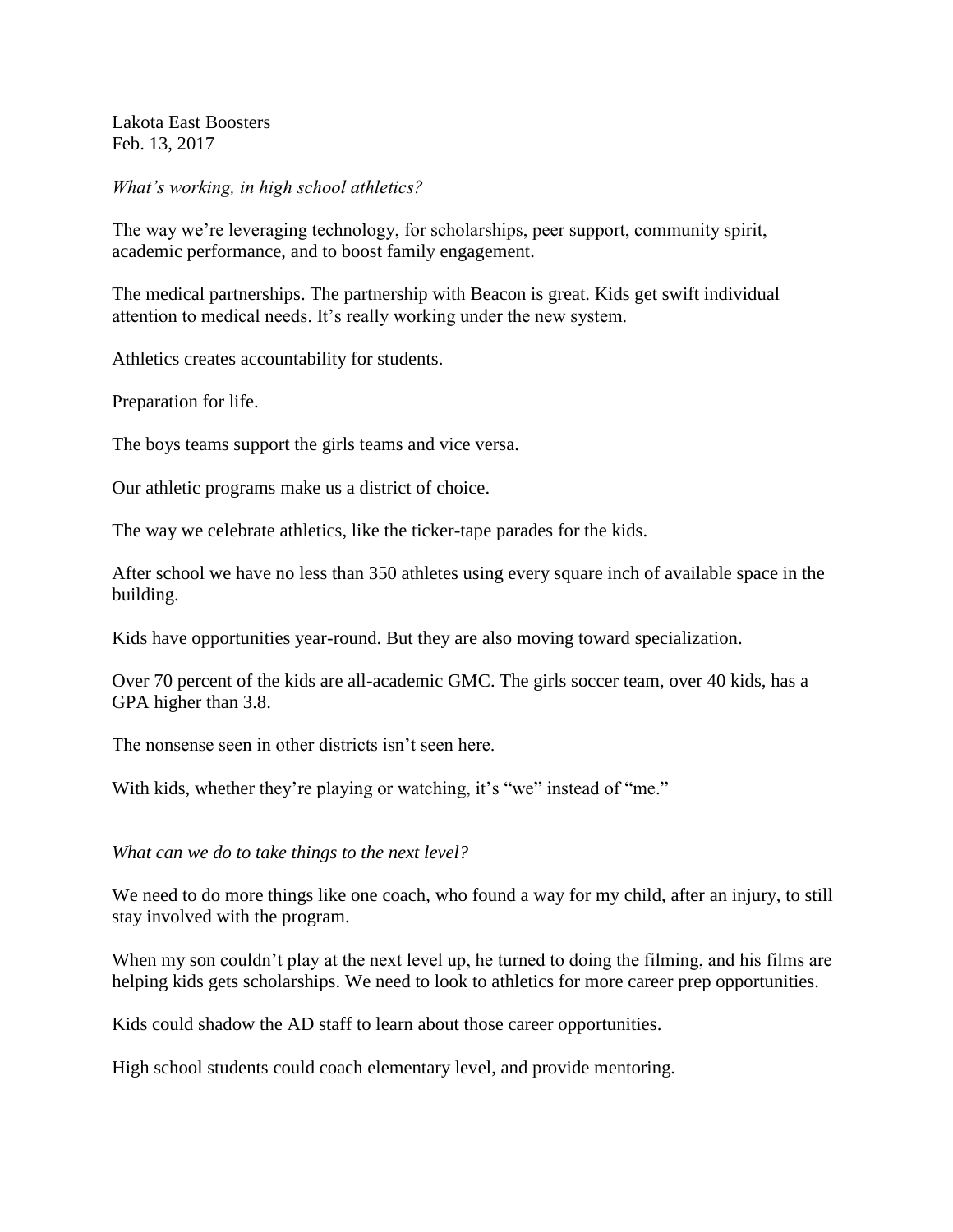Lakota East Boosters Feb. 13, 2017

*What's working, in high school athletics?*

The way we're leveraging technology, for scholarships, peer support, community spirit, academic performance, and to boost family engagement.

The medical partnerships. The partnership with Beacon is great. Kids get swift individual attention to medical needs. It's really working under the new system.

Athletics creates accountability for students.

Preparation for life.

The boys teams support the girls teams and vice versa.

Our athletic programs make us a district of choice.

The way we celebrate athletics, like the ticker-tape parades for the kids.

After school we have no less than 350 athletes using every square inch of available space in the building.

Kids have opportunities year-round. But they are also moving toward specialization.

Over 70 percent of the kids are all-academic GMC. The girls soccer team, over 40 kids, has a GPA higher than 3.8.

The nonsense seen in other districts isn't seen here.

With kids, whether they're playing or watching, it's "we" instead of "me."

*What can we do to take things to the next level?*

We need to do more things like one coach, who found a way for my child, after an injury, to still stay involved with the program.

When my son couldn't play at the next level up, he turned to doing the filming, and his films are helping kids gets scholarships. We need to look to athletics for more career prep opportunities.

Kids could shadow the AD staff to learn about those career opportunities.

High school students could coach elementary level, and provide mentoring.